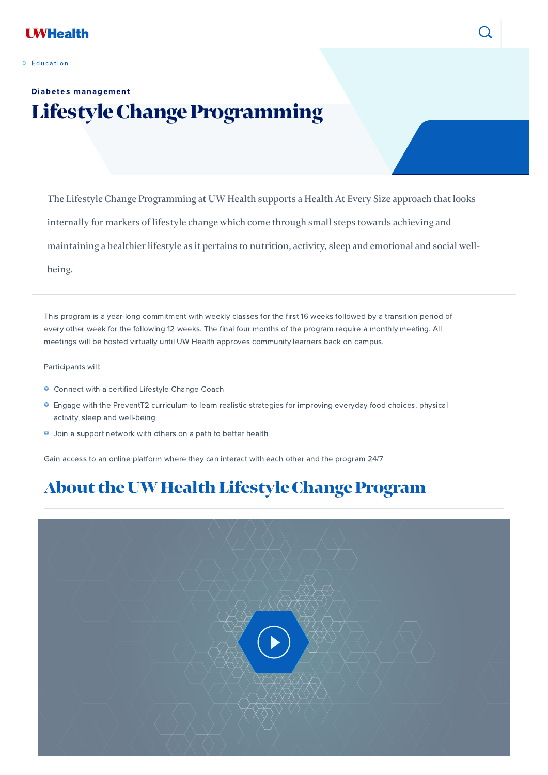

#### $\overline{\phantom{a}}$  E[d](https://patient.uwhealth.org/patient-search#t=All&sort=relevancy&f:uwh_document_type=[Education])ucation

The Lifestyle Change Programming at UW Health supports a Health At Every Size approach that looks internally for markers of lifestyle change which come through small steps towards achieving and maintaining a healthier lifestyle as it pertains to nutrition, activity, sleep and emotional and social wellbeing.

This program is a year-long commitment with weekly classes for the first 16 weeks followed by a transition period of every other week for the following 12 weeks. The final four months of the program require a monthly meeting. All meetings will be hosted virtually until UW Health approves community learners back on campus.

Participants will:

- ⏣ Connect with a certified Lifestyle Change Coach
- ⏣ Engage with the PreventT2 curriculum to learn realistic strategies for improving everyday food choices, physical activity, sleep and well-being
- ⏣ Join a support network with others on a path to better health

Gain access to an online platform where they can interact with each other and the program 24/7

### About the UW Health Lifestyle Change Program





### Diabetes management

# Lifestyle Change Programming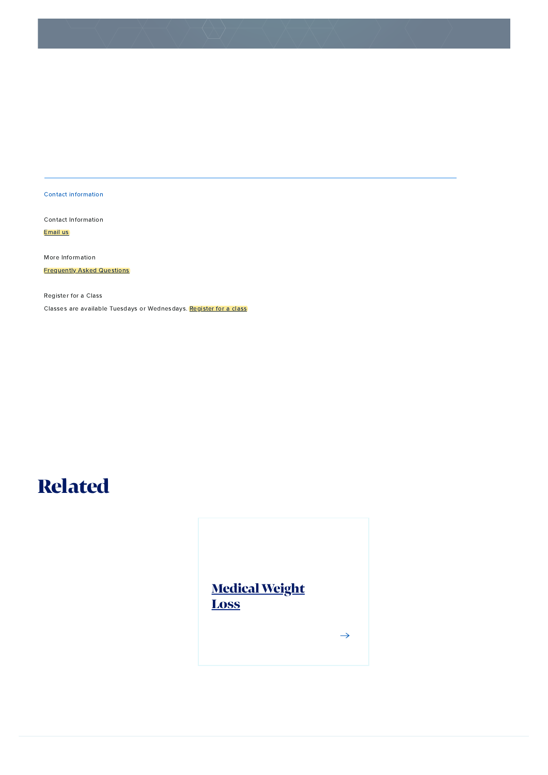## Related



Contact information

Contact Information

Register for a Class Classes are available Tuesdays or Wednesdays. [Register](https://apm.activecommunities.com/uwhealth/Activity_Search?txtActivitySearch=diabetes&applyFiltersDefaultValue=true&cat=Activities) for a class

[Email](mailto:lifestylechange@uwhealth.org) us

More Information

**[Frequently](https://www.uwhealth.org/pat/v/files/uwhealth/docs/diabetes/LifestyleChangeProg_FAQs.pdf) Asked Questions**